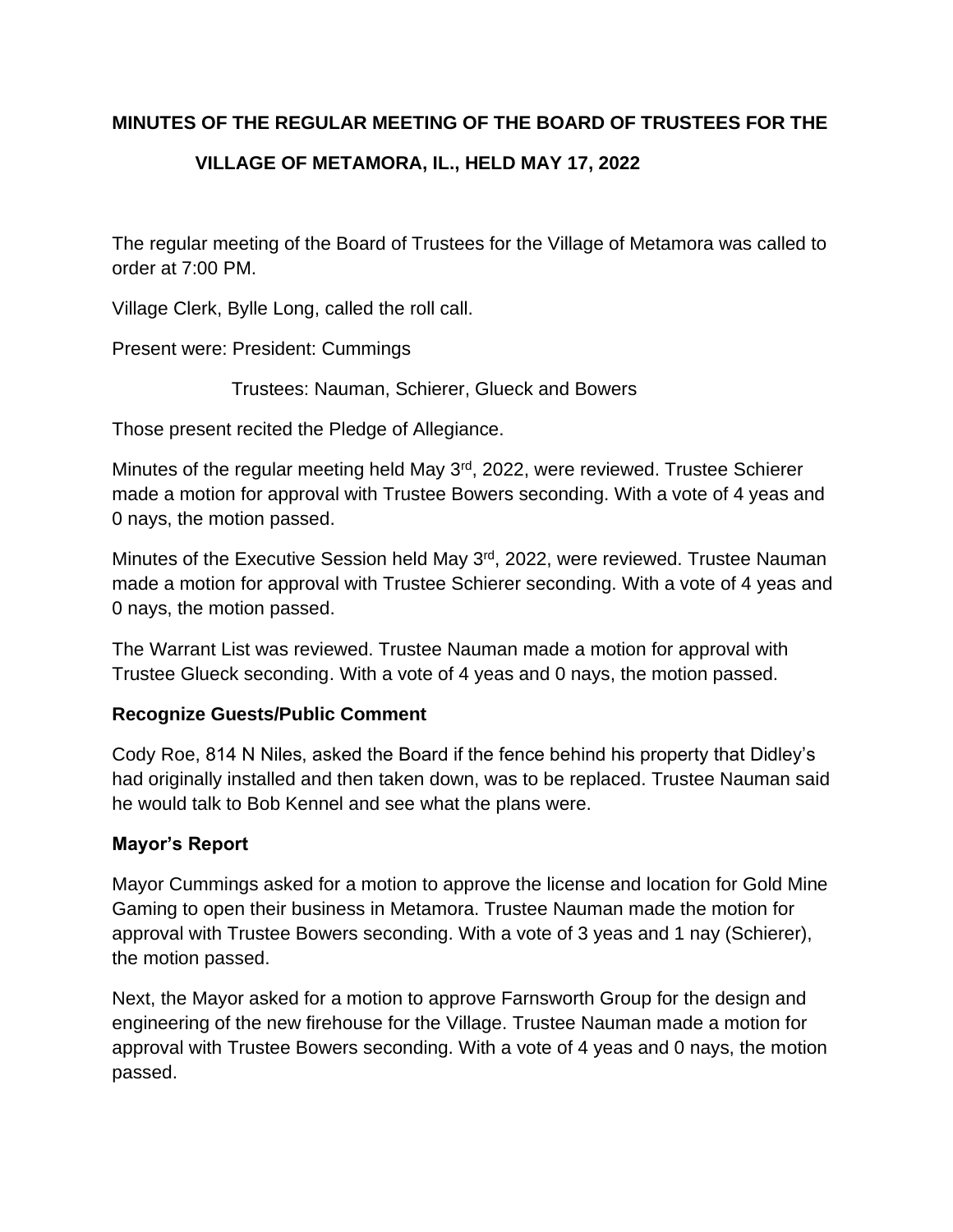## **MINUTES OF THE REGULAR MEETING OF THE BOARD OF TRUSTEES FOR THE**

# **VILLAGE OF METAMORA, IL., HELD MAY 17, 2022**

The regular meeting of the Board of Trustees for the Village of Metamora was called to order at 7:00 PM.

Village Clerk, Bylle Long, called the roll call.

Present were: President: Cummings

Trustees: Nauman, Schierer, Glueck and Bowers

Those present recited the Pledge of Allegiance.

Minutes of the regular meeting held May 3<sup>rd</sup>, 2022, were reviewed. Trustee Schierer made a motion for approval with Trustee Bowers seconding. With a vote of 4 yeas and 0 nays, the motion passed.

Minutes of the Executive Session held May 3<sup>rd</sup>, 2022, were reviewed. Trustee Nauman made a motion for approval with Trustee Schierer seconding. With a vote of 4 yeas and 0 nays, the motion passed.

The Warrant List was reviewed. Trustee Nauman made a motion for approval with Trustee Glueck seconding. With a vote of 4 yeas and 0 nays, the motion passed.

# **Recognize Guests/Public Comment**

Cody Roe, 814 N Niles, asked the Board if the fence behind his property that Didley's had originally installed and then taken down, was to be replaced. Trustee Nauman said he would talk to Bob Kennel and see what the plans were.

## **Mayor's Report**

Mayor Cummings asked for a motion to approve the license and location for Gold Mine Gaming to open their business in Metamora. Trustee Nauman made the motion for approval with Trustee Bowers seconding. With a vote of 3 yeas and 1 nay (Schierer), the motion passed.

Next, the Mayor asked for a motion to approve Farnsworth Group for the design and engineering of the new firehouse for the Village. Trustee Nauman made a motion for approval with Trustee Bowers seconding. With a vote of 4 yeas and 0 nays, the motion passed.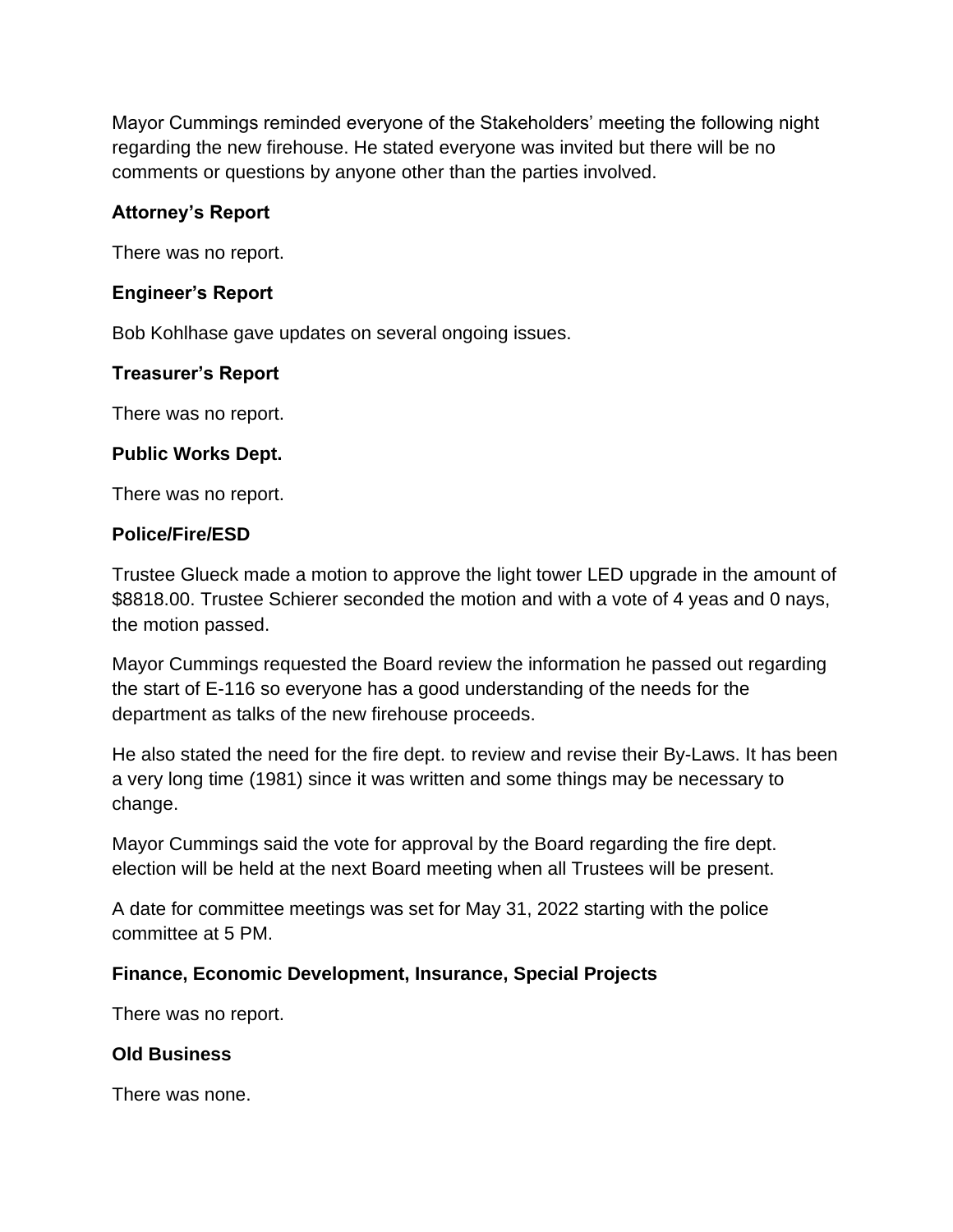Mayor Cummings reminded everyone of the Stakeholders' meeting the following night regarding the new firehouse. He stated everyone was invited but there will be no comments or questions by anyone other than the parties involved.

## **Attorney's Report**

There was no report.

### **Engineer's Report**

Bob Kohlhase gave updates on several ongoing issues.

#### **Treasurer's Report**

There was no report.

#### **Public Works Dept.**

There was no report.

#### **Police/Fire/ESD**

Trustee Glueck made a motion to approve the light tower LED upgrade in the amount of \$8818.00. Trustee Schierer seconded the motion and with a vote of 4 yeas and 0 nays, the motion passed.

Mayor Cummings requested the Board review the information he passed out regarding the start of E-116 so everyone has a good understanding of the needs for the department as talks of the new firehouse proceeds.

He also stated the need for the fire dept. to review and revise their By-Laws. It has been a very long time (1981) since it was written and some things may be necessary to change.

Mayor Cummings said the vote for approval by the Board regarding the fire dept. election will be held at the next Board meeting when all Trustees will be present.

A date for committee meetings was set for May 31, 2022 starting with the police committee at 5 PM.

#### **Finance, Economic Development, Insurance, Special Projects**

There was no report.

#### **Old Business**

There was none.